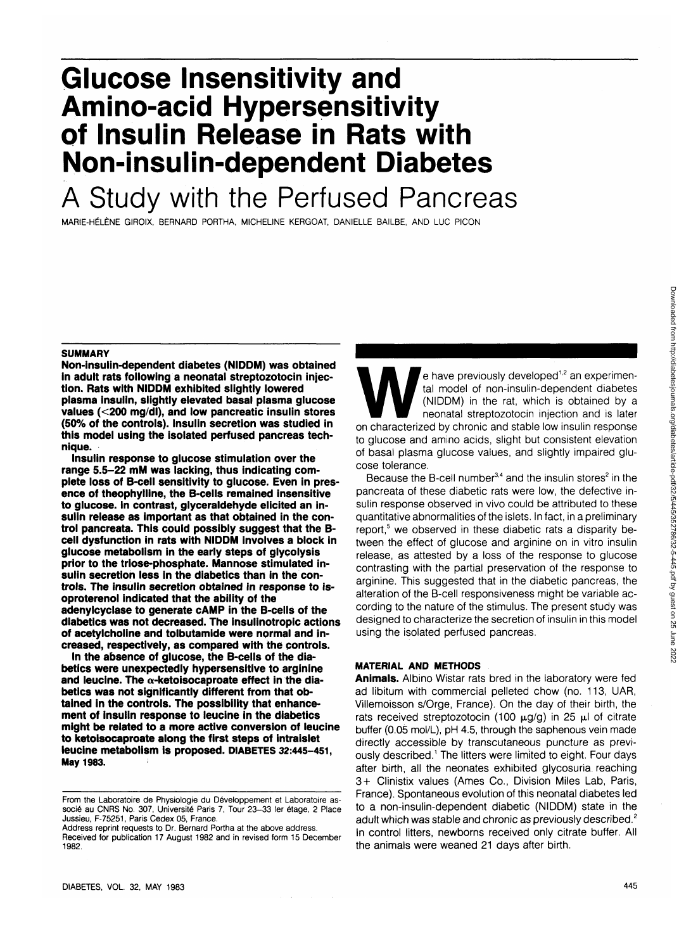# **Glucose Insensitivity and Amino-acid Hypersensitivity of Insulin Release in Rats with Non-insulin-dependent Diabetes**

# A Study with the Perfused Pancreas

MARIE-HELENE GIROIX, BERNARD PORTHA, MICHELINE KERGOAT, DANIELLE BAILBE, AND LUC PICON

#### **SUMMARY**

**Non-insulin-dependent diabetes (NIDDM) was obtained in adult rats following a neonatal streptozotocin injection. Rats with NIDDM exhibited slightly lowered plasma insulin, slightly elevated basal plasma glucose values (<200 mg/dl), and low pancreatic insulin stores (50% of the controls). Insulin secretion was studied in this model using the isolated perfused pancreas technique.**

**Insulin response to glucose stimulation over the range 5.5-22 mM was lacking, thus indicating complete loss of B-cell sensitivity to glucose. Even in presence of theophylline, the B-cells remained insensitive to glucose. In contrast, glyceraldehyde elicited an insulin release as important as that obtained in the control pancreata. This could possibly suggest that the Bcell dysfunction in rats with NIDDM involves a block in glucose metabolism in the early steps of glycolysis prior to the triose-phosphate. Mannose stimulated insulin secretion less in the diabetics than in the controls. The insulin secretion obtained in response to isoproterenol indicated that the ability of the adenylcyclase to generate cAMP in the B-cells of the diabetics was not decreased. The insulinotropic actions of acetylcholine and tolbutamide were normal and increased, respectively, as compared with the controls.**

**In the absence of glucose, the B-cells of the diabetics were unexpectedly hypersensitive to arginine and leucine. The a-ketoisocaproate effect in the diabetics was not significantly different from that obtained in the controls. The possibility that enhancement of insulin response to leucine in the diabetics might be related to a more active conversion of leucine to ketoisocaproate along the first steps of intraislet leucine metabolism is proposed. DIABETES 32:445-451, May 1983.**

e have previously developed<sup>1,2</sup> an experimental model of non-insulin-dependent diabetes (NIDDM) in the rat, which is obtained by a neonatal streptozotocin injection and is later<br>on characterized by chronic and stable low e have previously developed<sup>1,2</sup> an experimental model of non-insulin-dependent diabetes (NIDDM) in the rat, which is obtained by a neonatal streptozotocin injection and is later to glucose and amino acids, slight but consistent elevation of basal plasma glucose values, and slightly impaired glucose tolerance.

Because the B-cell number $^{3,4}$  and the insulin stores<sup>2</sup> in the pancreata of these diabetic rats were low, the defective insulin response observed in vivo could be attributed to these quantitative abnormalities of the islets. In fact, in a preliminary report,<sup>5</sup> we observed in these diabetic rats a disparity between the effect of glucose and arginine on in vitro insulin release, as attested by a loss of the response to glucose contrasting with the partial preservation of the response to arginine. This suggested that in the diabetic pancreas, the alteration of the B-cell responsiveness might be variable according to the nature of the stimulus. The present study was designed to characterize the secretion of insulin in this model using the isolated perfused pancreas.

# **MATERIAL AND METHODS**

**Animals.** Albino Wistar rats bred in the laboratory were fed ad libitum with commercial pelleted chow (no. 113, UAR, Villemoisson s/Orge, France). On the day of their birth, the rats received streptozotocin (100  $\mu$ g/g) in 25  $\mu$ l of citrate buffer (0.05 mol/L), pH 4.5, through the saphenous vein made directly accessible by transcutaneous puncture as previously described.<sup>1</sup> The litters were limited to eight. Four days after birth, all the neonates exhibited glycosuria reaching 3+ Clinistix values (Ames Co., Division Miles Lab, Paris, France). Spontaneous evolution of this neonatal diabetes led to a non-insulin-dependent diabetic (NIDDM) state in the adult which was stable and chronic as previously described.<sup>2</sup> In control litters, newborns received only citrate buffer. All the animals were weaned 21 days after birth.

From the Laboratoire de Physiologie du Developpement et Laboratoire associé au CNRS No. 307, Université Paris 7, Tour 23-33 ler étage, 2 Place Jussieu, F-75251, Paris Cedex 05, France.

Address reprint requests to Dr. Bernard Portha at the above address. Received for publication 17 August 1982 and in revised form 15 December 1982.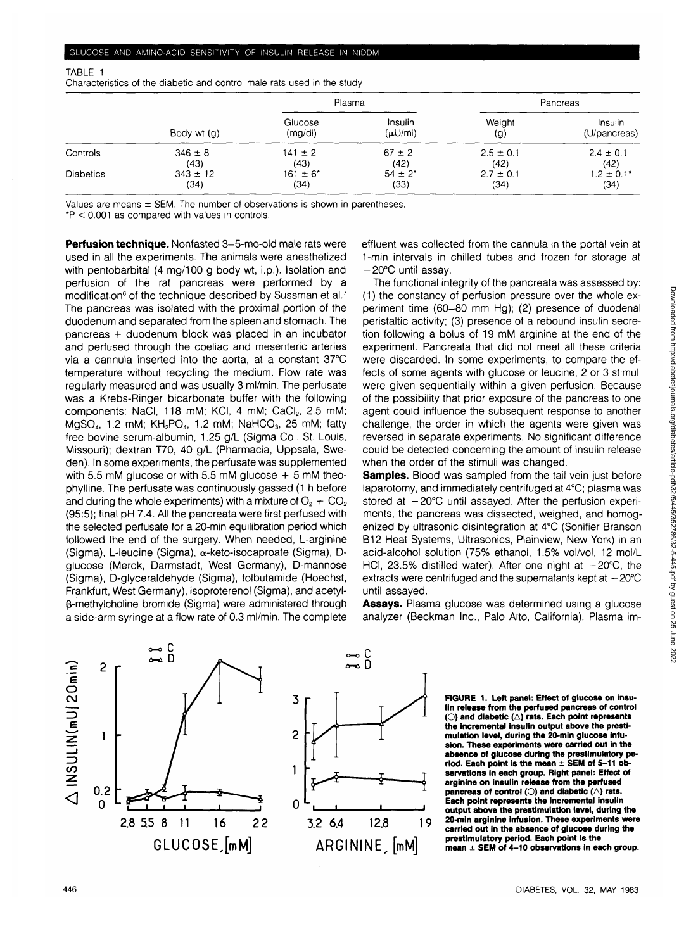Characteristics of the diabetic and control male rats used in the study

|                  |              | Plasma            |                    | Pancreas      |                         |
|------------------|--------------|-------------------|--------------------|---------------|-------------------------|
|                  | Body wt (g)  | Glucose<br>(mg/d) | Insulin<br>(µU/ml) | Weight<br>(g) | Insulin<br>(U/pancreas) |
| Controls         | $346 \pm 8$  | $141 \pm 2$       | $67 \pm 2$         | $2.5 \pm 0.1$ | $2.4 \pm 0.1$           |
|                  | (43)         | (43)              | (42)               | (42)          | (42)                    |
| <b>Diabetics</b> | $343 \pm 12$ | $161 \pm 6^*$     | $54 \pm 2^*$       | $2.7 \pm 0.1$ | $1.2 \pm 0.1^*$         |
|                  | (34)         | (34)              | (33)               | (34)          | (34)                    |

Values are means  $\pm$  SEM. The number of observations is shown in parentheses.

\*P < 0.001 as compared with values in controls.

**Perfusion technique.** Nonfasted 3-5-mo-old male rats were used in all the experiments. The animals were anesthetized with pentobarbital (4 mg/100 g body wt, i.p.). Isolation and perfusion of the rat pancreas were performed by a modification<sup>6</sup> of the technique described by Sussman et al.<sup>7</sup> The pancreas was isolated with the proximal portion of the duodenum and separated from the spleen and stomach. The pancreas + duodenum block was placed in an incubator and perfused through the coeliac and mesenteric arteries via a cannula inserted into the aorta, at a constant 37°C temperature without recycling the medium. Flow rate was regularly measured and was usually 3 ml/min. The perfusate was a Krebs-Ringer bicarbonate buffer with the following components: NaCl, 118 mM; KCl, 4 mM; CaCl<sub>2</sub>, 2.5 mM; MgSO<sub>4</sub>, 1.2 mM; KH<sub>2</sub>PO<sub>4</sub>, 1.2 mM; NaHCO<sub>3</sub>, 25 mM; fatty free bovine serum-albumin, 1.25 g/L (Sigma Co., St. Louis, Missouri); dextran T70, 40 g/L (Pharmacia, Uppsala, Sweden). In some experiments, the perfusate was supplemented with 5.5 mM glucose or with 5.5 mM glucose  $+$  5 mM theophylline. The perfusate was continuously gassed (1 h before and during the whole experiments) with a mixture of  $O<sub>2</sub> + CO<sub>2</sub>$ (95:5); final pH 7.4. All the pancreata were first perfused with the selected perfusate for a 20-min equilibration period which followed the end of the surgery. When needed, L-arginine (Sigma), L-leucine (Sigma), a-keto-isocaproate (Sigma), Dglucose (Merck, Darmstadt, West Germany), D-mannose (Sigma), D-glyceraldehyde (Sigma), tolbutamide (Hoechst, Frankfurt, West Germany), isoproterenol (Sigma), and acetylp-methylcholine bromide (Sigma) were administered through a side-arm syringe at a flow rate of 0.3 ml/min. The complete

effluent was collected from the cannula in the portal vein at 1-min intervals in chilled tubes and frozen for storage at -20°C until assay.

The functional integrity of the pancreata was assessed by: (1) the constancy of perfusion pressure over the whole experiment time (60-80 mm Hg); (2) presence of duodenal peristaltic activity; (3) presence of a rebound insulin secretion following a bolus of 19 mM arginine at the end of the experiment. Pancreata that did not meet all these criteria were discarded. In some experiments, to compare the effects of some agents with glucose or leucine, 2 or 3 stimuli were given sequentially within a given perfusion. Because of the possibility that prior exposure of the pancreas to one agent could influence the subsequent response to another challenge, the order in which the agents were given was reversed in separate experiments. No significant difference could be detected concerning the amount of insulin release when the order of the stimuli was changed.

**Samples.** Blood was sampled from the tail vein just before laparotomy, and immediately centrifuged at 4°C; plasma was stored at  $-20^{\circ}$ C until assayed. After the perfusion experiments, the pancreas was dissected, weighed, and homogenized by ultrasonic disintegration at 4°C (Sonifier Branson B12 Heat Systems, Ultrasonics, Plainview, New York) in an acid-alcohol solution (75% ethanol, 1.5% vol/vol, 12 mol/L HCI, 23.5% distilled water). After one night at  $-20^{\circ}$ C, the extracts were centrifuged and the supernatants kept at  $-20^{\circ}$ C until assayed.

**Assays.** Plasma glucose was determined using a glucose analyzer (Beckman Inc., Palo Alto, California). Plasma im-



**FIGURE 1. Left panel: Effect of glucose on insulin release from the perfused pancreas of control (O) and diabetic (A) rats. Each point represents the incremental insulin output above the prestimulation level, during the 20-min glucose infusion. These experiments were carried out in the absence of glucose during the prestimulatory period. Each point is the mean ± SEM of 5-11 observations in each group. Right panel: Effect of arginine on insulin release from the perfused** pancreas of control (O) and diabetic ( $\triangle$ ) rats. **Each point represents the Incremental insulin output above the prestimulation level, during the 20-min arginine infusion. These experiments were carried out in the absence of glucose during the prestimulatory period. Each point is the mean ± SEM of 4-10 observations in each group.**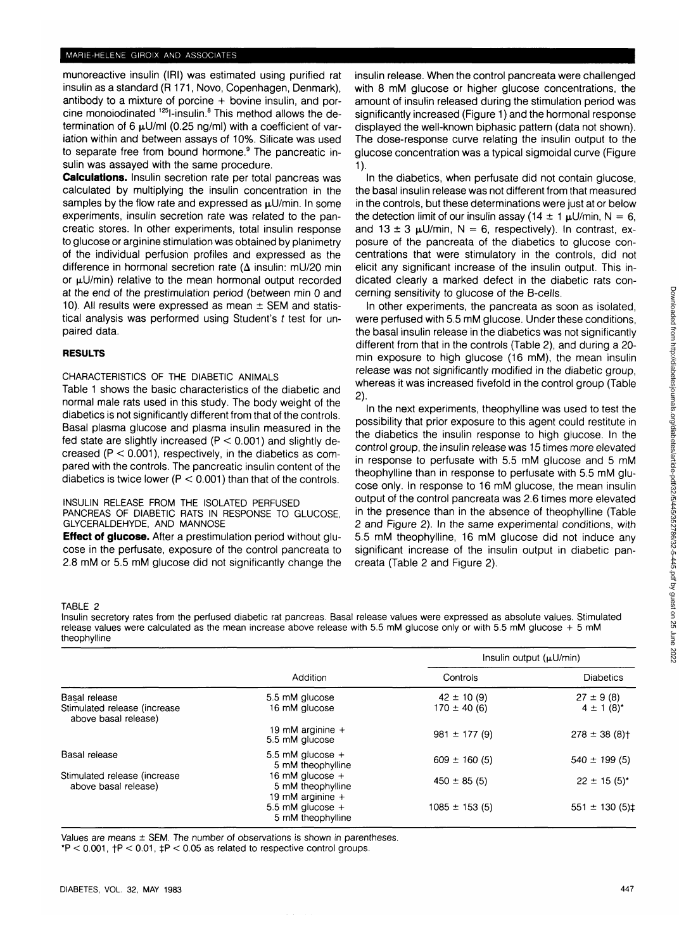munoreactive insulin (IRI) was estimated using purified rat insulin as a standard (R 171, Novo, Copenhagen, Denmark), antibody to a mixture of porcine  $+$  bovine insulin, and porcine monoiodinated <sup>125</sup>l-insulin.<sup>8</sup> This method allows the determination of 6  $\mu$ U/ml (0.25 ng/ml) with a coefficient of variation within and between assays of 10%. Silicate was used to separate free from bound hormone.<sup>9</sup> The pancreatic insulin was assayed with the same procedure.

**Calculations.** Insulin secretion rate per total pancreas was calculated by multiplying the insulin concentration in the samples by the flow rate and expressed as  $\mu$ U/min. In some experiments, insulin secretion rate was related to the pancreatic stores. In other experiments, total insulin response to glucose or arginine stimulation was obtained by planimetry of the individual perfusion profiles and expressed as the difference in hormonal secretion rate ( $\Delta$  insulin: mU/20 min or  $\mu U/min$ ) relative to the mean hormonal output recorded at the end of the prestimulation period (between min 0 and 10). All results were expressed as mean  $\pm$  SEM and statistical analysis was performed using Student's t test for unpaired data.

# **RESULTS**

CHARACTERISTICS OF THE DIABETIC ANIMALS

Table 1 shows the basic characteristics of the diabetic and normal male rats used in this study. The body weight of the diabetics is not significantly different from that of the controls. Basal plasma glucose and plasma insulin measured in the fed state are slightly increased  $(P < 0.001)$  and slightly decreased  $(P < 0.001)$ , respectively, in the diabetics as compared with the controls. The pancreatic insulin content of the diabetics is twice lower ( $P < 0.001$ ) than that of the controls.

INSULIN RELEASE FROM THE ISOLATED PERFUSED

PANCREAS OF DIABETIC RATS IN RESPONSE TO GLUCOSE, GLYCERALDEHYDE, AND MANNOSE

**Effect of glucose.** After a prestimulation period without glucose in the perfusate, exposure of the control pancreata to 2.8 mM or 5.5 mM glucose did not significantly change the insulin release. When the control pancreata were challenged with 8 mM glucose or higher glucose concentrations, the amount of insulin released during the stimulation period was significantly increased (Figure 1) and the hormonal response displayed the well-known biphasic pattern (data not shown). The dose-response curve relating the insulin output to the glucose concentration was a typical sigmoidal curve (Figure **1).**

In the diabetics, when perfusate did not contain glucose, the basal insulin release was not different from that measured in the controls, but these determinations were just at or below the detection limit of our insulin assay (14  $\pm$  1  $\mu$ U/min, N = 6, and  $13 \pm 3$   $\mu$ U/min, N = 6, respectively). In contrast, exposure of the pancreata of the diabetics to glucose concentrations that were stimulatory in the controls, did not elicit any significant increase of the insulin output. This indicated clearly a marked defect in the diabetic rats concerning sensitivity to glucose of the B-cells.

In other experiments, the pancreata as soon as isolated, were perfused with 5.5 mM glucose. Under these conditions, the basal insulin release in the diabetics was not significantly different from that in the controls (Table 2), and during a 20 min exposure to high glucose (16 mM), the mean insulin release was not significantly modified in the diabetic group, whereas it was increased fivefold in the control group (Table 2).

In the next experiments, theophylline was used to test the possibility that prior exposure to this agent could restitute in the diabetics the insulin response to high glucose. In the control group, the insulin release was 15 times more elevated in response to perfusate with 5.5 mM glucose and 5 mM theophylline than in response to perfusate with 5.5 mM glucose only. In response to 16 mM glucose, the mean insulin output of the control pancreata was 2.6 times more elevated in the presence than in the absence of theophylline (Table 2 and Figure 2). In the same experimental conditions, with 5.5 mM theophylline, 16 mM glucose did not induce any significant increase of the insulin output in diabetic pancreata (Table 2 and Figure 2).

#### TABLE 2

Insulin secretory rates from the perfused diabetic rat pancreas. Basal release values were expressed as absolute values. Stimulated release values were calculated as the mean increase above release with 5.5 mM glucose only or with 5.5 mM glucose + 5 mM theophylline

|                                                                       | Addition                                                     | Insulin output $(\mu U/min)$      |                                 |
|-----------------------------------------------------------------------|--------------------------------------------------------------|-----------------------------------|---------------------------------|
|                                                                       |                                                              | Controls                          | <b>Diabetics</b>                |
| Basal release<br>Stimulated release (increase<br>above basal release) | 5.5 mM glucose<br>16 mM glucose                              | $42 \pm 10(9)$<br>$170 \pm 40(6)$ | $27 \pm 9(8)$<br>$4 \pm 1$ (8)* |
|                                                                       | 19 mM arginine $+$<br>5.5 mM glucose                         | $981 \pm 177(9)$                  | $278 \pm 38(8)$ †               |
| Basal release                                                         | 5.5 mM glucose $+$<br>5 mM theophylline                      | $609 \pm 160(5)$                  | $540 \pm 199$ (5)               |
| Stimulated release (increase<br>above basal release)                  | 16 mM glucose $+$<br>5 mM theophylline<br>19 mM arginine $+$ | $450 \pm 85(5)$                   | $22 \pm 15(5)^*$                |
|                                                                       | 5.5 mM glucose $+$<br>5 mM theophylline                      | $1085 \pm 153(5)$                 | $551 \pm 130(5)$                |

Values are means  $\pm$  SEM. The number of observations is shown in parentheses.

 $*P < 0.001$ ,  $+P < 0.01$ ,  $+P < 0.05$  as related to respective control groups.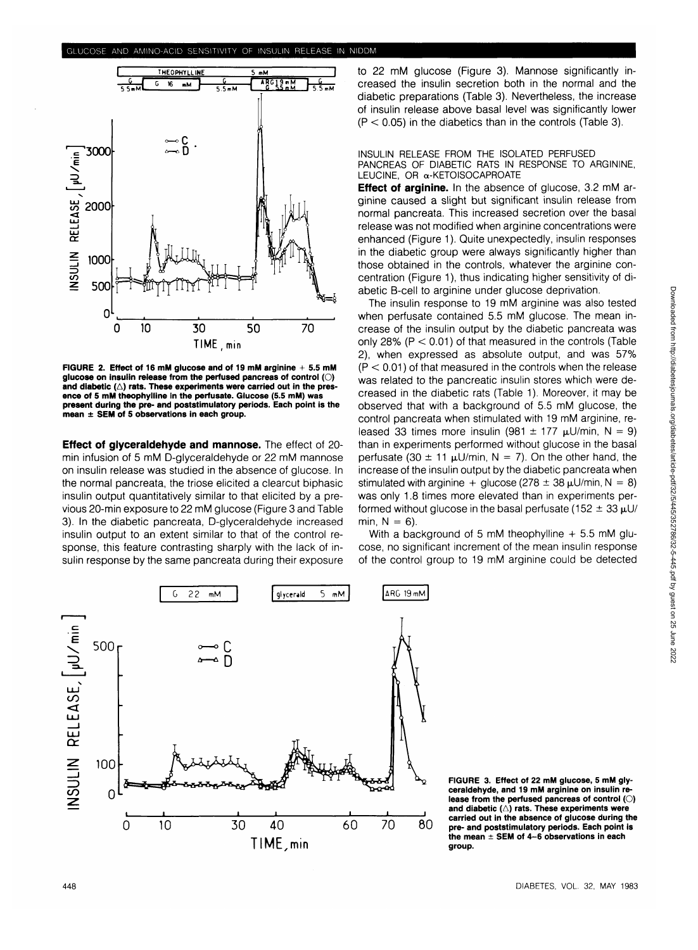

**FIGURE 2. Effect of 16 mM glucose and of 19 mM arginine + 5.5 mM glucose on insulin release from the perfused pancreas of control (O)** and diabetic ( $\triangle$ ) rats. These experiments were carried out in the pres**ence of 5 mM theophylline in the perfusate. Glucose (5.5 mM) was present during the pre- and poststimulatory periods. Each point is the mean ± SEM of 5 observations in each group.**

**Effect of glyceraldehyde and mannose.** The effect of 20 min infusion of 5 mM D-glyceraldehyde or 22 mM mannose on insulin release was studied in the absence of glucose. In the normal pancreata, the triose elicited a clearcut biphasic insulin output quantitatively similar to that elicited by a previous 20-min exposure to 22 mM glucose (Figure 3 and Table 3). In the diabetic pancreata, D-glyceraldehyde increased insulin output to an extent similar to that of the control response, this feature contrasting sharply with the lack of insulin response by the same pancreata during their exposure to 22 mM glucose (Figure 3). Mannose significantly increased the insulin secretion both in the normal and the diabetic preparations (Table 3). Nevertheless, the increase of insulin release above basal level was significantly lower  $(P < 0.05)$  in the diabetics than in the controls (Table 3).

#### INSULIN RELEASE FROM THE ISOLATED PERFUSED PANCREAS OF DIABETIC RATS IN RESPONSE TO ARGININE, LEUCINE, OR  $\alpha$ -KETOISOCAPROATE

**Effect of arginine.** In the absence of glucose, 3.2 mM arginine caused a slight but significant insulin release from normal pancreata. This increased secretion over the basal release was not modified when arginine concentrations were enhanced (Figure 1). Quite unexpectedly, insulin responses in the diabetic group were always significantly higher than those obtained in the controls, whatever the arginine concentration (Figure 1), thus indicating higher sensitivity of diabetic B-cell to arginine under glucose deprivation.

The insulin response to 19 mM arginine was also tested when perfusate contained 5.5 mM glucose. The mean increase of the insulin output by the diabetic pancreata was only 28% ( $P < 0.01$ ) of that measured in the controls (Table 2), when expressed as absolute output, and was 57%  $(P < 0.01)$  of that measured in the controls when the release was related to the pancreatic insulin stores which were decreased in the diabetic rats (Table 1). Moreover, it may be observed that with a background of 5.5 mM glucose, the control pancreata when stimulated with 19 mM arginine, released 33 times more insulin (981  $\pm$  177  $\mu$ U/min, N = 9) than in experiments performed without glucose in the basal perfusate (30  $\pm$  11  $\mu$ U/min, N = 7). On the other hand, the increase of the insulin output by the diabetic pancreata when stimulated with arginine + glucose ( $278 \pm 38$   $\mu$ U/min, N = 8) was only 1.8 times more elevated than in experiments performed without glucose in the basal perfusate (152  $\pm$  33  $\mu$ U/ min,  $N = 6$ ).

With a background of 5 mM theophylline  $+ 5.5$  mM glucose, no significant increment of the mean insulin response of the control group to 19 mM arginine could be detected





**FIGURE 3. Effect of 22 mM glucose, 5 mM glyceraldehyde, and 19 mM arginine on insulin release from the perfused pancreas of control (O) and diabetic (A) rats. These experiments were carried out in the absence of glucose during the pre- and poststimulatory periods. Each point is the mean ± SEM of 4-6 observations in each group.**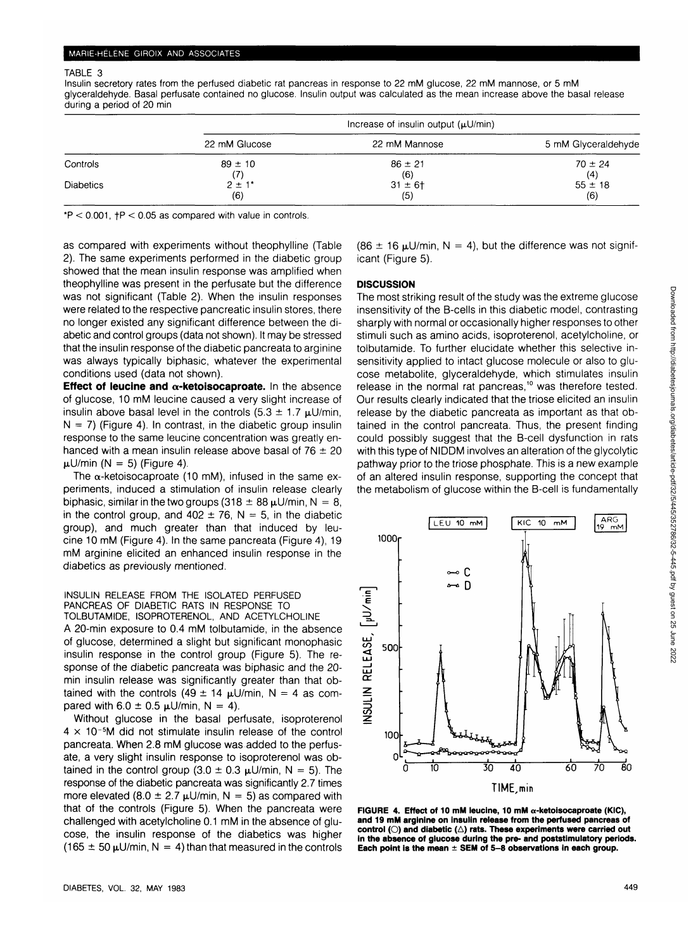#### TABLE 3

Insulin secretory rates from the perfused diabetic rat pancreas in response to 22 mM glucose, 22 mM mannose, or 5 mM glyceraldehyde. Basal perfusate contained no glucose. Insulin output was calculated as the mean increase above the basal release during a period of 20 min

|                  |                        | Increase of insulin output $(\mu U/min)$ |                     |
|------------------|------------------------|------------------------------------------|---------------------|
|                  | 22 mM Glucose          | 22 mM Mannose                            | 5 mM Glyceraldehyde |
| Controls         | $89 \pm 10$            | $86 \pm 21$                              | $70 \pm 24$         |
|                  | (7)                    | (6)                                      | (4)                 |
| <b>Diabetics</b> | $2 \pm 1$ <sup>*</sup> | $31 \pm 6$ †                             | $55 \pm 18$         |
|                  | (6)                    | (5)                                      | (6)                 |

 $*P < 0.001$ ,  $+P < 0.05$  as compared with value in controls.

as compared with experiments without theophylline (Table 2). The same experiments performed in the diabetic group showed that the mean insulin response was amplified when theophylline was present in the perfusate but the difference was not significant (Table 2). When the insulin responses were related to the respective pancreatic insulin stores, there no longer existed any significant difference between the diabetic and control groups (data not shown). It may be stressed that the insulin response of the diabetic pancreata to arginine was always typically biphasic, whatever the experimental conditions used (data not shown).

**Effect of leucine and a-ketoisocaproate.** In the absence of glucose, 10 mM leucine caused a very slight increase of insulin above basal level in the controls (5.3  $\pm$  1.7  $\mu$ U/min,  $N = 7$ ) (Figure 4). In contrast, in the diabetic group insulin response to the same leucine concentration was greatly enhanced with a mean insulin release above basal of  $76 \pm 20$  $\mu$ U/min (N = 5) (Figure 4).

The  $\alpha$ -ketoisocaproate (10 mM), infused in the same experiments, induced a stimulation of insulin release clearly biphasic, similar in the two groups (318  $\pm$  88  $\mu$ U/min, N = 8, in the control group, and  $402 \pm 76$ , N = 5, in the diabetic group), and much greater than that induced by leucine 10 mM (Figure 4). In the same pancreata (Figure 4), 19 mM arginine elicited an enhanced insulin response in the diabetics as previously mentioned.

INSULIN RELEASE FROM THE ISOLATED PERFUSED PANCREAS OF DIABETIC RATS IN RESPONSE TO TOLBUTAMIDE, ISOPROTERENOL, AND ACETYLCHOLINE A 20-min exposure to 0.4 mM tolbutamide, in the absence of glucose, determined a slight but significant monophasic insulin response in the control group (Figure 5). The response of the diabetic pancreata was biphasic and the 20 min insulin release was significantly greater than that obtained with the controls (49  $\pm$  14  $\mu$ U/min, N = 4 as compared with  $6.0 \pm 0.5$   $\mu$ U/min, N = 4).

Without glucose in the basal perfusate, isoproterenol  $4 \times 10^{-5}$ M did not stimulate insulin release of the control pancreata. When 2.8 mM glucose was added to the perfusate, a very slight insulin response to isoproterenol was obtained in the control group (3.0  $\pm$  0.3  $\mu$ U/min, N = 5). The response of the diabetic pancreata was significantly 2.7 times more elevated (8.0  $\pm$  2.7  $\mu$ U/min, N = 5) as compared with that of the controls (Figure 5). When the pancreata were challenged with acetylcholine 0.1 mM in the absence of glucose, the insulin response of the diabetics was higher  $(165 \pm 50 \,\mu\text{U/min}, N = 4)$  than that measured in the controls (86  $\pm$  16  $\mu$ U/min, N = 4), but the difference was not significant (Figure 5).

# **DISCUSSION**

The most striking result of the study was the extreme glucose insensitivity of the B-cells in this diabetic model, contrasting sharply with normal or occasionally higher responses to other stimuli such as amino acids, isoproterenol, acetylcholine, or tolbutamide. To further elucidate whether this selective insensitivity applied to intact glucose molecule or also to glucose metabolite, glyceraldehyde, which stimulates insulin release in the normal rat pancreas,<sup>10</sup> was therefore tested. Our results clearly indicated that the triose elicited an insulin release by the diabetic pancreata as important as that obtained in the control pancreata. Thus, the present finding could possibly suggest that the B-cell dysfunction in rats with this type of NIDDM involves an alteration of the glycolytic pathway prior to the triose phosphate. This is a new example of an altered insulin response, supporting the concept that the metabolism of glucose within the B-cell is fundamentally



**FIGURE 4. Effect of 10 mM leucine, 10 mM a-ketoisocaproate (KIC), and 19 mM arginine on insulin release from the perfused pancreas of** control (O) and diabetic ( $\triangle$ ) rats. These experiments were carried out **in the absence of glucose during the pre- and poststimulatory periods. Each point is the mean ± SEM of 5-8 observations in each group.**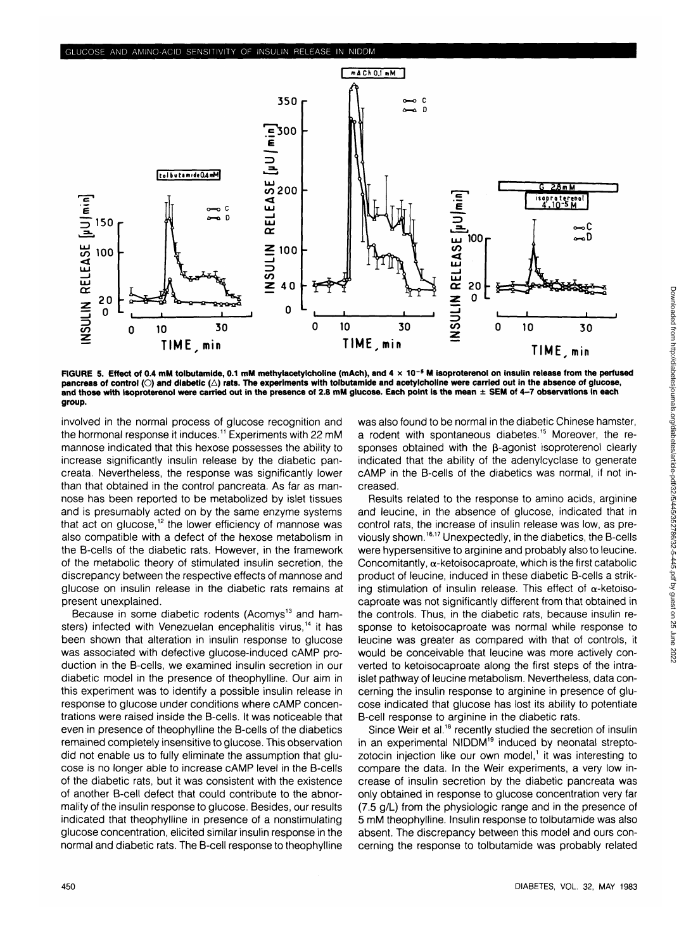

**FIGURE 5. Effect of 0.4 mM tolbutamide, 0.1 mM methylacetylcholine (mAch), and 4 x 10 <sup>s</sup> M isoproterenol on insulin release from the perfused pancreas of control (O) and diabetic (A) rats. The experiments with tolbutamide and acetylcholine were carried out in the absence of glucose, and those with isoproterenol were carried out in the presence of 2.8 mM glucose. Each point is the mean ± SEM of 4-7 observations in each group.**

involved in the normal process of glucose recognition and the hormonal response it induces.<sup>11</sup> Experiments with 22 mM mannose indicated that this hexose possesses the ability to increase significantly insulin release by the diabetic pancreata. Nevertheless, the response was significantly lower than that obtained in the control pancreata. As far as mannose has been reported to be metabolized by islet tissues and is presumably acted on by the same enzyme systems that act on glucose,<sup>12</sup> the lower efficiency of mannose was also compatible with a defect of the hexose metabolism in the B-cells of the diabetic rats. However, in the framework of the metabolic theory of stimulated insulin secretion, the discrepancy between the respective effects of mannose and glucose on insulin release in the diabetic rats remains at present unexplained.

Because in some diabetic rodents (Acomys<sup>13</sup> and hamsters) infected with Venezuelan encephalitis virus,<sup>14</sup> it has been shown that alteration in insulin response to glucose was associated with defective glucose-induced cAMP production in the B-cells, we examined insulin secretion in our diabetic model in the presence of theophylline. Our aim in this experiment was to identify a possible insulin release in response to glucose under conditions where cAMP concentrations were raised inside the B-cells. It was noticeable that even in presence of theophylline the B-cells of the diabetics remained completely insensitive to glucose. This observation did not enable us to fully eliminate the assumption that glucose is no longer able to increase cAMP level in the B-cells of the diabetic rats, but it was consistent with the existence of another B-cell defect that could contribute to the abnormality of the insulin response to glucose. Besides, our results indicated that theophylline in presence of a nonstimulating glucose concentration, elicited similar insulin response in the normal and diabetic rats. The B-cell response to theophylline

was also found to be normal in the diabetic Chinese hamster, a rodent with spontaneous diabetes.<sup>15</sup> Moreover, the responses obtained with the  $\beta$ -agonist isoproterenol clearly indicated that the ability of the adenylcyclase to generate cAMP in the B-cells of the diabetics was normal, if not increased.

Results related to the response to amino acids, arginine and leucine, in the absence of glucose, indicated that in control rats, the increase of insulin release was low, as previously shown.<sup>16,17</sup> Unexpectedly, in the diabetics, the B-cells were hypersensitive to arginine and probably also to leucine. Concomitantly,  $\alpha$ -ketoisocaproate, which is the first catabolic product of leucine, induced in these diabetic B-cells a striking stimulation of insulin release. This effect of  $\alpha$ -ketoisocaproate was not significantly different from that obtained in the controls. Thus, in the diabetic rats, because insulin response to ketoisocaproate was normal while response to leucine was greater as compared with that of controls, it would be conceivable that leucine was more actively converted to ketoisocaproate along the first steps of the intraislet pathway of leucine metabolism. Nevertheless, data concerning the insulin response to arginine in presence of glucose indicated that glucose has lost its ability to potentiate B-cell response to arginine in the diabetic rats.

Since Weir et al.<sup>18</sup> recently studied the secretion of insulin in an experimental NIDDM<sup>19</sup> induced by neonatal streptozotocin injection like our own model,<sup>1</sup> it was interesting to compare the data. In the Weir experiments, a very low increase of insulin secretion by the diabetic pancreata was only obtained in response to glucose concentration very far (7.5 g/L) from the physiologic range and in the presence of 5 mM theophylline. Insulin response to tolbutamide was also absent. The discrepancy between this model and ours concerning the response to tolbutamide was probably related